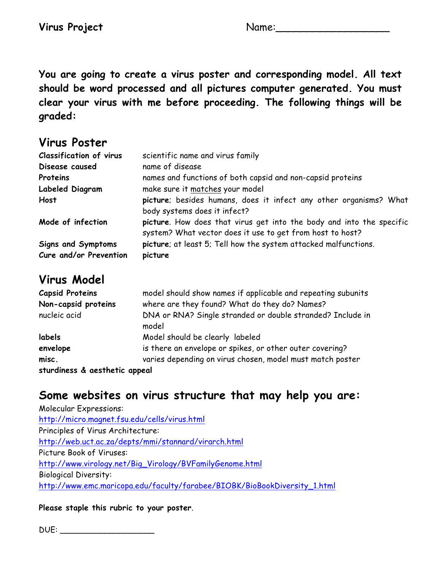**You are going to create a virus poster and corresponding model. All text should be word processed and all pictures computer generated. You must clear your virus with me before proceeding. The following things will be graded:**

## **Virus Poster**

| <b>Classification of virus</b>                      | scientific name and virus family                                                                                                  |
|-----------------------------------------------------|-----------------------------------------------------------------------------------------------------------------------------------|
| Disease caused                                      | name of disease                                                                                                                   |
| Proteins                                            | names and functions of both capsid and non-capsid proteins                                                                        |
| Labeled Diagram                                     | make sure it matches your model                                                                                                   |
| Host                                                | picture; besides humans, does it infect any other organisms? What                                                                 |
|                                                     | body systems does it infect?                                                                                                      |
| Mode of infection                                   | picture. How does that virus get into the body and into the specific<br>system? What vector does it use to get from host to host? |
| <b>Signs and Symptoms</b><br>Cure and/or Prevention | picture; at least 5; Tell how the system attacked malfunctions.<br>picture                                                        |

## **Virus Model**

| <b>Capsid Proteins</b>        | model should show names if applicable and repeating subunits        |
|-------------------------------|---------------------------------------------------------------------|
| Non-capsid proteins           | where are they found? What do they do? Names?                       |
| nucleic acid                  | DNA or RNA? Single stranded or double stranded? Include in<br>model |
| labels                        | Model should be clearly labeled                                     |
| envelope                      | is there an envelope or spikes, or other outer covering?            |
| misc.                         | varies depending on virus chosen, model must match poster           |
| sturdiness & aesthetic appeal |                                                                     |

## **Some websites on virus structure that may help you are:**

Molecular Expressions: http://micro.magnet.fsu.edu/cells/virus.html Principles of Virus Architecture: http://web.uct.ac.za/depts/mmi/stannard/virarch.html Picture Book of Viruses: http://www.virology.net/Big\_Virology/BVFamilyGenome.html Biological Diversity: http://www.emc.maricopa.edu/faculty/farabee/BIOBK/BioBookDiversity\_1.html

## **Please staple this rubric to your poster**.

DUE: \_\_\_\_\_\_\_\_\_\_\_\_\_\_\_\_\_\_\_